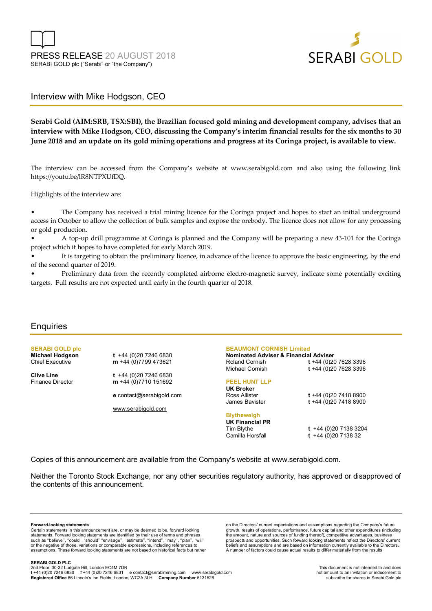

## Interview with Mike Hodgson, CEO

**Serabi Gold (AIM:SRB, TSX:SBI), the Brazilian focused gold mining and development company, advises that an interview with Mike Hodgson, CEO, discussing the Company's interim financial results for the six months to 30 June 2018 and an update on its gold mining operations and progress at its Coringa project, is available to view.** 

The interview can be accessed from the Company's website at www.serabigold.com and also using the following link https://youtu.be/lR8NTPXUfDQ.

Highlights of the interview are:

• The Company has received a trial mining licence for the Coringa project and hopes to start an initial underground access in October to allow the collection of bulk samples and expose the orebody. The licence does not allow for any processing or gold production.

• A top-up drill programme at Coringa is planned and the Company will be preparing a new 43-101 for the Coringa project which it hopes to have completed for early March 2019.

It is targeting to obtain the preliminary licence, in advance of the licence to approve the basic engineering, by the end of the second quarter of 2019.

• Preliminary data from the recently completed airborne electro-magnetic survey, indicate some potentially exciting targets. Full results are not expected until early in the fourth quarter of 2018.

### **Enquiries**

**SERABI GOLD plc** 

**Michael Hodgson t** +44 (0)20 7246 6830<br>Chief Executive **m** +44 (0)7799 473621 m +44 (0)7799 473621

**Clive Line t** +44 (0)20 7246 6830 Finance Director **m** +44 (0)7710 151692

**e** contact@serabigold.com

www.serabigold.com

#### **BEAUMONT CORNISH Limited**

**Nominated Adviser & Financial Adviser**  Roland Cornish **t** +44 (0)20 7628 3396 Michael Cornish **t** +44 (0)20 7628 3396

#### **PEEL HUNT LLP**

**UK Broker** James Bavister **t** +44 (0)20 7418 8900

## **Blytheweigh UK Financial PR**

Tim Blythe **t** +44 (0)20 7138 3204 Camilla Horsfall **t** +44 (0)20 7138 32

Ross Allister **t** +44 (0)20 7418 8900

Copies of this announcement are available from the Company's website at www.serabigold.com.

Neither the Toronto Stock Exchange, nor any other securities regulatory authority, has approved or disapproved of the contents of this announcement.

#### **Forward-looking statements**

Certain statements in this announcement are, or may be deemed to be, forward looking statements. Forward looking statements are identified by their use of terms and phrases such as ''believe'', ''could'', "should" ''envisage'', ''estimate'', ''intend'', ''may'', ''plan'', ''will'' or the negative of those, variations or comparable expressions, including references to assumptions. These forward looking statements are not based on historical facts but rather

on the Directors' current expectations and assumptions regarding the Company's future growth, results of operations, performance, future capital and other expenditures (including the amount, nature and sources of funding thereof), competitive advantages, business prospects and opportunities. Such forward looking statements reflect the Directors' current beliefs and assumptions and are based on information currently available to the Directors. A number of factors could cause actual results to differ materially from the results

**SERABI GOLD PLC** 

2nd Floor, 30-32 Ludgate Hill, London EC4M 7DR<br>t +44 (0)20 7246 6830 f +44 (0)20 7246 6831 e contact@serabimining.com www.serabigold.com not amount to an invitation or inducement to **Registered Office** 66 Lincoln's Inn Fields, London, WC2A 3LH **Company Number** 5131528